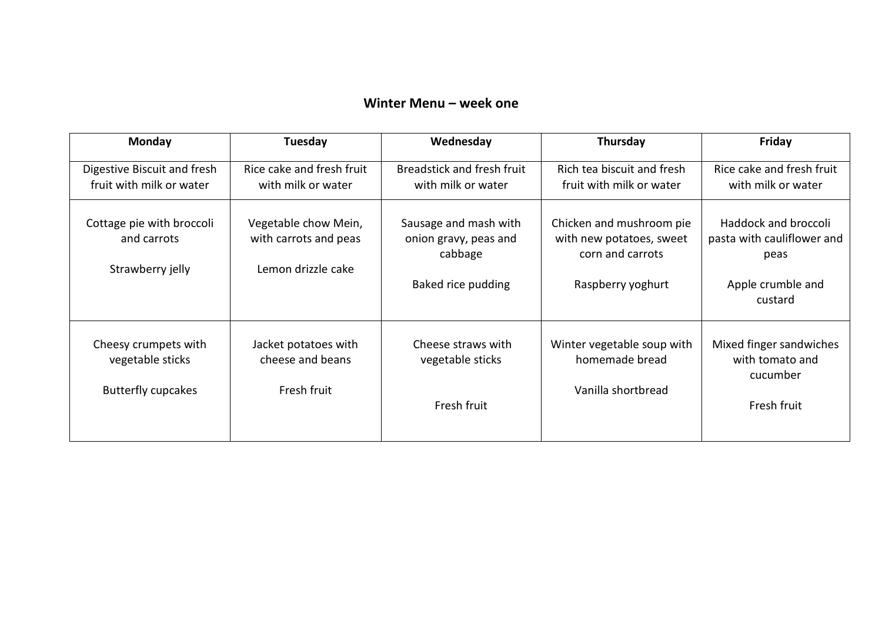## **Winter Menu – week one**

| <b>Monday</b>                                                         | Tuesday                                                             | Wednesday                                                                       | Thursday                                                                                      | Friday                                                                                            |
|-----------------------------------------------------------------------|---------------------------------------------------------------------|---------------------------------------------------------------------------------|-----------------------------------------------------------------------------------------------|---------------------------------------------------------------------------------------------------|
| Digestive Biscuit and fresh<br>fruit with milk or water               | Rice cake and fresh fruit<br>with milk or water                     | Breadstick and fresh fruit<br>with milk or water                                | Rich tea biscuit and fresh<br>fruit with milk or water                                        | Rice cake and fresh fruit<br>with milk or water                                                   |
| Cottage pie with broccoli<br>and carrots<br>Strawberry jelly          | Vegetable chow Mein,<br>with carrots and peas<br>Lemon drizzle cake | Sausage and mash with<br>onion gravy, peas and<br>cabbage<br>Baked rice pudding | Chicken and mushroom pie<br>with new potatoes, sweet<br>corn and carrots<br>Raspberry yoghurt | <b>Haddock and broccoli</b><br>pasta with cauliflower and<br>peas<br>Apple crumble and<br>custard |
| Cheesy crumpets with<br>vegetable sticks<br><b>Butterfly cupcakes</b> | Jacket potatoes with<br>cheese and beans<br>Fresh fruit             | Cheese straws with<br>vegetable sticks<br>Fresh fruit                           | Winter vegetable soup with<br>homemade bread<br>Vanilla shortbread                            | Mixed finger sandwiches<br>with tomato and<br>cucumber<br>Fresh fruit                             |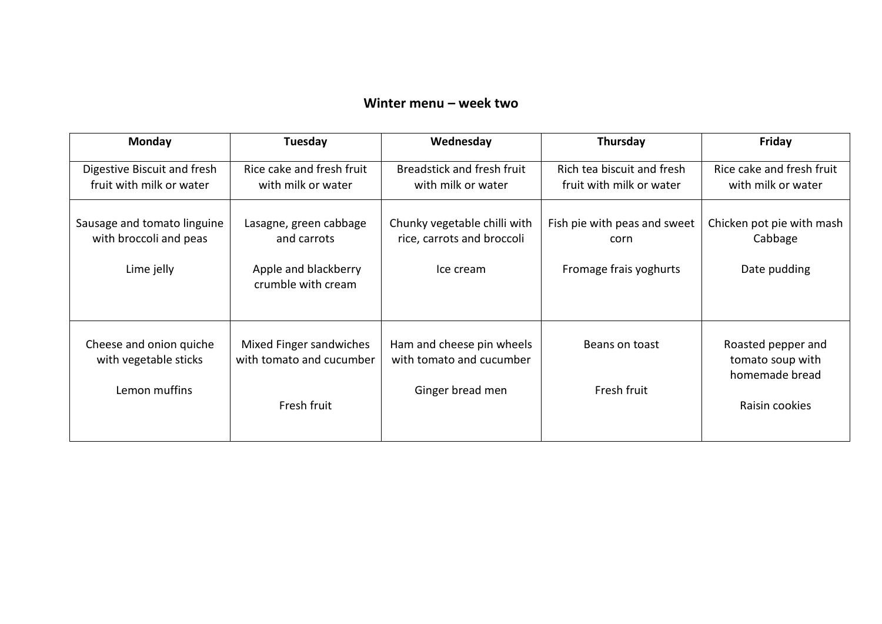## **Winter menu – week two**

| Monday                                                              | Tuesday                                                                             | Wednesday                                                                 | Thursday                                                       | Friday                                                                     |
|---------------------------------------------------------------------|-------------------------------------------------------------------------------------|---------------------------------------------------------------------------|----------------------------------------------------------------|----------------------------------------------------------------------------|
| Digestive Biscuit and fresh<br>fruit with milk or water             | Rice cake and fresh fruit<br>with milk or water                                     | Breadstick and fresh fruit<br>with milk or water                          | Rich tea biscuit and fresh<br>fruit with milk or water         | Rice cake and fresh fruit<br>with milk or water                            |
| Sausage and tomato linguine<br>with broccoli and peas<br>Lime jelly | Lasagne, green cabbage<br>and carrots<br>Apple and blackberry<br>crumble with cream | Chunky vegetable chilli with<br>rice, carrots and broccoli<br>Ice cream   | Fish pie with peas and sweet<br>corn<br>Fromage frais yoghurts | Chicken pot pie with mash<br>Cabbage<br>Date pudding                       |
| Cheese and onion quiche<br>with vegetable sticks<br>Lemon muffins   | Mixed Finger sandwiches<br>with tomato and cucumber<br>Fresh fruit                  | Ham and cheese pin wheels<br>with tomato and cucumber<br>Ginger bread men | Beans on toast<br>Fresh fruit                                  | Roasted pepper and<br>tomato soup with<br>homemade bread<br>Raisin cookies |